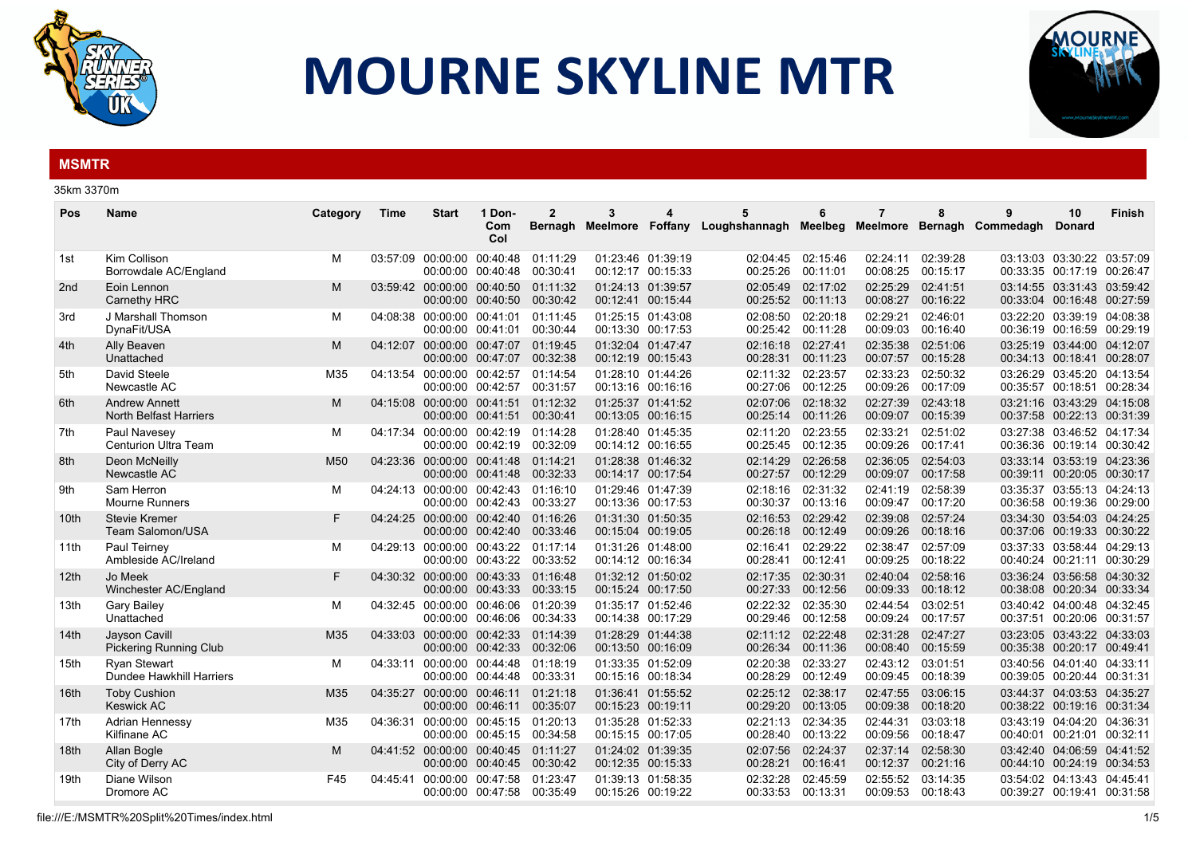

## **MOURNE SKYLINE MTR**



## **MSMTR**

| 35km 3370m |
|------------|
|            |

| Name                                                  | Category | Time     | <b>Start</b> | 1 Don-<br>Com<br>Col | $\mathbf{2}$<br>Bernagh                                                                                                                                                                                                                                                                                                                                                                                                                                                                                                                                                                                                                                                          | 3                                                                                                                                                                                                                                                                                      | 5                                                                                                                                                                                                                                                                                                                                                                                                                                                                                                                                                                                                                                                                                                                                                                                                                          | 6                    | 7                    | 8                    | 9                                         | 10<br><b>Donard</b>                                               | <b>Finish</b>                                                                                                                                                                                                                                                                                                                                                                                                                                                                                                                                                                                                                                                                                                                                                                                                                                                                                                                                                                                                                                                                                                                                                                    |
|-------------------------------------------------------|----------|----------|--------------|----------------------|----------------------------------------------------------------------------------------------------------------------------------------------------------------------------------------------------------------------------------------------------------------------------------------------------------------------------------------------------------------------------------------------------------------------------------------------------------------------------------------------------------------------------------------------------------------------------------------------------------------------------------------------------------------------------------|----------------------------------------------------------------------------------------------------------------------------------------------------------------------------------------------------------------------------------------------------------------------------------------|----------------------------------------------------------------------------------------------------------------------------------------------------------------------------------------------------------------------------------------------------------------------------------------------------------------------------------------------------------------------------------------------------------------------------------------------------------------------------------------------------------------------------------------------------------------------------------------------------------------------------------------------------------------------------------------------------------------------------------------------------------------------------------------------------------------------------|----------------------|----------------------|----------------------|-------------------------------------------|-------------------------------------------------------------------|----------------------------------------------------------------------------------------------------------------------------------------------------------------------------------------------------------------------------------------------------------------------------------------------------------------------------------------------------------------------------------------------------------------------------------------------------------------------------------------------------------------------------------------------------------------------------------------------------------------------------------------------------------------------------------------------------------------------------------------------------------------------------------------------------------------------------------------------------------------------------------------------------------------------------------------------------------------------------------------------------------------------------------------------------------------------------------------------------------------------------------------------------------------------------------|
| Kim Collison<br>Borrowdale AC/England                 | м        |          |              |                      | 01:11:29<br>00:30:41                                                                                                                                                                                                                                                                                                                                                                                                                                                                                                                                                                                                                                                             |                                                                                                                                                                                                                                                                                        | 02:04:45<br>00:25:26                                                                                                                                                                                                                                                                                                                                                                                                                                                                                                                                                                                                                                                                                                                                                                                                       | 02:15:46<br>00:11:01 | 02:24:11<br>00:08:25 | 02:39:28<br>00:15:17 |                                           |                                                                   |                                                                                                                                                                                                                                                                                                                                                                                                                                                                                                                                                                                                                                                                                                                                                                                                                                                                                                                                                                                                                                                                                                                                                                                  |
| Eoin Lennon<br>Carnethy HRC                           | M        |          |              |                      | 01:11:32<br>00:30:42                                                                                                                                                                                                                                                                                                                                                                                                                                                                                                                                                                                                                                                             |                                                                                                                                                                                                                                                                                        | 02:05:49<br>00:25:52                                                                                                                                                                                                                                                                                                                                                                                                                                                                                                                                                                                                                                                                                                                                                                                                       | 02:17:02<br>00:11:13 | 02:25:29<br>00:08:27 | 02:41:51<br>00:16:22 |                                           |                                                                   |                                                                                                                                                                                                                                                                                                                                                                                                                                                                                                                                                                                                                                                                                                                                                                                                                                                                                                                                                                                                                                                                                                                                                                                  |
| J Marshall Thomson<br>DynaFit/USA                     | M        |          |              |                      | 01:11:45<br>00:30:44                                                                                                                                                                                                                                                                                                                                                                                                                                                                                                                                                                                                                                                             |                                                                                                                                                                                                                                                                                        | 02:08:50<br>00:25:42                                                                                                                                                                                                                                                                                                                                                                                                                                                                                                                                                                                                                                                                                                                                                                                                       | 02:20:18<br>00:11:28 | 02:29:21<br>00:09:03 | 02:46:01<br>00:16:40 |                                           |                                                                   |                                                                                                                                                                                                                                                                                                                                                                                                                                                                                                                                                                                                                                                                                                                                                                                                                                                                                                                                                                                                                                                                                                                                                                                  |
| Ally Beaven<br>Unattached                             | M        |          |              |                      | 01:19:45<br>00:32:38                                                                                                                                                                                                                                                                                                                                                                                                                                                                                                                                                                                                                                                             |                                                                                                                                                                                                                                                                                        | 02:16:18<br>00:28:31                                                                                                                                                                                                                                                                                                                                                                                                                                                                                                                                                                                                                                                                                                                                                                                                       | 02:27:41<br>00:11:23 | 02:35:38<br>00:07:57 | 02:51:06<br>00:15:28 |                                           |                                                                   |                                                                                                                                                                                                                                                                                                                                                                                                                                                                                                                                                                                                                                                                                                                                                                                                                                                                                                                                                                                                                                                                                                                                                                                  |
| David Steele<br>Newcastle AC                          | M35      |          |              |                      | 01:14:54<br>00:31:57                                                                                                                                                                                                                                                                                                                                                                                                                                                                                                                                                                                                                                                             |                                                                                                                                                                                                                                                                                        | 02:11:32<br>00:27:06                                                                                                                                                                                                                                                                                                                                                                                                                                                                                                                                                                                                                                                                                                                                                                                                       | 02:23:57<br>00:12:25 | 02:33:23<br>00:09:26 | 02:50:32<br>00:17:09 |                                           |                                                                   |                                                                                                                                                                                                                                                                                                                                                                                                                                                                                                                                                                                                                                                                                                                                                                                                                                                                                                                                                                                                                                                                                                                                                                                  |
| <b>Andrew Annett</b><br><b>North Belfast Harriers</b> | M        |          |              |                      | 01:12:32<br>00:30:41                                                                                                                                                                                                                                                                                                                                                                                                                                                                                                                                                                                                                                                             |                                                                                                                                                                                                                                                                                        | 02:07:06<br>00:25:14                                                                                                                                                                                                                                                                                                                                                                                                                                                                                                                                                                                                                                                                                                                                                                                                       | 02:18:32<br>00:11:26 | 02:27:39<br>00:09:07 | 02:43:18<br>00:15:39 |                                           |                                                                   |                                                                                                                                                                                                                                                                                                                                                                                                                                                                                                                                                                                                                                                                                                                                                                                                                                                                                                                                                                                                                                                                                                                                                                                  |
| Paul Navesey<br><b>Centurion Ultra Team</b>           | M        |          |              |                      | 01:14:28<br>00:32:09                                                                                                                                                                                                                                                                                                                                                                                                                                                                                                                                                                                                                                                             |                                                                                                                                                                                                                                                                                        | 02:11:20<br>00:25:45                                                                                                                                                                                                                                                                                                                                                                                                                                                                                                                                                                                                                                                                                                                                                                                                       | 02:23:55<br>00:12:35 | 02:33:21<br>00:09:26 | 02:51:02<br>00:17:41 |                                           |                                                                   |                                                                                                                                                                                                                                                                                                                                                                                                                                                                                                                                                                                                                                                                                                                                                                                                                                                                                                                                                                                                                                                                                                                                                                                  |
| Deon McNeilly<br>Newcastle AC                         | M50      |          |              |                      | 01:14:21<br>00:32:33                                                                                                                                                                                                                                                                                                                                                                                                                                                                                                                                                                                                                                                             |                                                                                                                                                                                                                                                                                        | 02:14:29<br>00:27:57                                                                                                                                                                                                                                                                                                                                                                                                                                                                                                                                                                                                                                                                                                                                                                                                       | 02:26:58<br>00:12:29 | 02:36:05<br>00:09:07 | 02:54:03<br>00:17:58 |                                           |                                                                   |                                                                                                                                                                                                                                                                                                                                                                                                                                                                                                                                                                                                                                                                                                                                                                                                                                                                                                                                                                                                                                                                                                                                                                                  |
| Sam Herron<br>Mourne Runners                          | M        |          |              |                      | 01:16:10<br>00:33:27                                                                                                                                                                                                                                                                                                                                                                                                                                                                                                                                                                                                                                                             |                                                                                                                                                                                                                                                                                        | 02:18:16<br>00:30:37                                                                                                                                                                                                                                                                                                                                                                                                                                                                                                                                                                                                                                                                                                                                                                                                       | 02:31:32<br>00:13:16 | 02:41:19<br>00:09:47 | 02:58:39<br>00:17:20 |                                           |                                                                   |                                                                                                                                                                                                                                                                                                                                                                                                                                                                                                                                                                                                                                                                                                                                                                                                                                                                                                                                                                                                                                                                                                                                                                                  |
| <b>Stevie Kremer</b><br>Team Salomon/USA              | F        |          |              |                      | 01:16:26<br>00:33:46                                                                                                                                                                                                                                                                                                                                                                                                                                                                                                                                                                                                                                                             |                                                                                                                                                                                                                                                                                        | 02:16:53<br>00:26:18                                                                                                                                                                                                                                                                                                                                                                                                                                                                                                                                                                                                                                                                                                                                                                                                       | 02:29:42<br>00:12:49 | 02:39:08<br>00:09:26 | 02:57:24<br>00:18:16 |                                           |                                                                   |                                                                                                                                                                                                                                                                                                                                                                                                                                                                                                                                                                                                                                                                                                                                                                                                                                                                                                                                                                                                                                                                                                                                                                                  |
| Paul Teirney<br>Ambleside AC/Ireland                  | M        |          |              |                      | 01:17:14<br>00:33:52                                                                                                                                                                                                                                                                                                                                                                                                                                                                                                                                                                                                                                                             |                                                                                                                                                                                                                                                                                        | 02:16:41<br>00:28:41                                                                                                                                                                                                                                                                                                                                                                                                                                                                                                                                                                                                                                                                                                                                                                                                       | 02:29:22<br>00:12:41 | 02:38:47<br>00:09:25 | 02:57:09<br>00:18:22 |                                           |                                                                   |                                                                                                                                                                                                                                                                                                                                                                                                                                                                                                                                                                                                                                                                                                                                                                                                                                                                                                                                                                                                                                                                                                                                                                                  |
| Jo Meek<br>Winchester AC/England                      | F        |          |              |                      | 01:16:48<br>00:33:15                                                                                                                                                                                                                                                                                                                                                                                                                                                                                                                                                                                                                                                             |                                                                                                                                                                                                                                                                                        | 02:17:35<br>00:27:33                                                                                                                                                                                                                                                                                                                                                                                                                                                                                                                                                                                                                                                                                                                                                                                                       | 02:30:31<br>00:12:56 | 02:40:04<br>00:09:33 | 02:58:16<br>00:18:12 |                                           |                                                                   |                                                                                                                                                                                                                                                                                                                                                                                                                                                                                                                                                                                                                                                                                                                                                                                                                                                                                                                                                                                                                                                                                                                                                                                  |
| <b>Gary Bailey</b><br>Unattached                      | M        |          |              |                      | 01:20:39<br>00:34:33                                                                                                                                                                                                                                                                                                                                                                                                                                                                                                                                                                                                                                                             |                                                                                                                                                                                                                                                                                        | 02:22:32<br>00:29:46                                                                                                                                                                                                                                                                                                                                                                                                                                                                                                                                                                                                                                                                                                                                                                                                       | 02:35:30<br>00:12:58 | 02:44:54<br>00:09:24 | 03:02:51<br>00:17:57 |                                           |                                                                   |                                                                                                                                                                                                                                                                                                                                                                                                                                                                                                                                                                                                                                                                                                                                                                                                                                                                                                                                                                                                                                                                                                                                                                                  |
| Jayson Cavill<br>Pickering Running Club               | M35      |          |              |                      | 01:14:39<br>00:32:06                                                                                                                                                                                                                                                                                                                                                                                                                                                                                                                                                                                                                                                             |                                                                                                                                                                                                                                                                                        | 02:11:12<br>00:26:34                                                                                                                                                                                                                                                                                                                                                                                                                                                                                                                                                                                                                                                                                                                                                                                                       | 02:22:48<br>00:11:36 | 02:31:28             | 02:47:27<br>00:15:59 |                                           |                                                                   |                                                                                                                                                                                                                                                                                                                                                                                                                                                                                                                                                                                                                                                                                                                                                                                                                                                                                                                                                                                                                                                                                                                                                                                  |
| <b>Ryan Stewart</b><br>Dundee Hawkhill Harriers       | M        | 04:33:11 |              |                      | 01:18:19<br>00:33:31                                                                                                                                                                                                                                                                                                                                                                                                                                                                                                                                                                                                                                                             |                                                                                                                                                                                                                                                                                        | 02:20:38<br>00:28:29                                                                                                                                                                                                                                                                                                                                                                                                                                                                                                                                                                                                                                                                                                                                                                                                       | 02:33:27<br>00:12:49 | 00:09:45             | 03:01:51<br>00:18:39 |                                           |                                                                   |                                                                                                                                                                                                                                                                                                                                                                                                                                                                                                                                                                                                                                                                                                                                                                                                                                                                                                                                                                                                                                                                                                                                                                                  |
| <b>Toby Cushion</b><br><b>Keswick AC</b>              | M35      |          |              |                      | 01:21:18<br>00:35:07                                                                                                                                                                                                                                                                                                                                                                                                                                                                                                                                                                                                                                                             |                                                                                                                                                                                                                                                                                        | 02:25:12<br>00:29:20                                                                                                                                                                                                                                                                                                                                                                                                                                                                                                                                                                                                                                                                                                                                                                                                       | 02:38:17<br>00:13:05 | 02:47:55<br>00:09:38 | 03:06:15<br>00:18:20 |                                           |                                                                   |                                                                                                                                                                                                                                                                                                                                                                                                                                                                                                                                                                                                                                                                                                                                                                                                                                                                                                                                                                                                                                                                                                                                                                                  |
| Adrian Hennessy<br>Kilfinane AC                       | M35      | 04:36:31 |              |                      | 01:20:13<br>00:34:58                                                                                                                                                                                                                                                                                                                                                                                                                                                                                                                                                                                                                                                             |                                                                                                                                                                                                                                                                                        | 02:21:13<br>00:28:40                                                                                                                                                                                                                                                                                                                                                                                                                                                                                                                                                                                                                                                                                                                                                                                                       | 02:34:35<br>00:13:22 | 02:44:31<br>00:09:56 | 03:03:18<br>00:18:47 |                                           |                                                                   |                                                                                                                                                                                                                                                                                                                                                                                                                                                                                                                                                                                                                                                                                                                                                                                                                                                                                                                                                                                                                                                                                                                                                                                  |
| Allan Bogle<br>City of Derry AC                       | M        |          |              |                      | 01:11:27<br>00:30:42                                                                                                                                                                                                                                                                                                                                                                                                                                                                                                                                                                                                                                                             |                                                                                                                                                                                                                                                                                        | 02:07:56<br>00:28:21                                                                                                                                                                                                                                                                                                                                                                                                                                                                                                                                                                                                                                                                                                                                                                                                       | 02:24:37<br>00:16:41 | 02:37:14<br>00:12:37 | 02:58:30<br>00:21:16 |                                           |                                                                   |                                                                                                                                                                                                                                                                                                                                                                                                                                                                                                                                                                                                                                                                                                                                                                                                                                                                                                                                                                                                                                                                                                                                                                                  |
| Diane Wilson<br>Dromore AC                            | F45      | 04:45:41 |              | 00:47:58             | 01:23:47                                                                                                                                                                                                                                                                                                                                                                                                                                                                                                                                                                                                                                                                         |                                                                                                                                                                                                                                                                                        | 02:32:28                                                                                                                                                                                                                                                                                                                                                                                                                                                                                                                                                                                                                                                                                                                                                                                                                   | 02:45:59<br>00:13:31 | 02:55:52             | 03:14:35             |                                           |                                                                   |                                                                                                                                                                                                                                                                                                                                                                                                                                                                                                                                                                                                                                                                                                                                                                                                                                                                                                                                                                                                                                                                                                                                                                                  |
|                                                       |          |          |              |                      | 03:57:09 00:00:00 00:40:48<br>00:00:00 00:40:48<br>03:59:42 00:00:00 00:40:50<br>00:00:00 00:40:50<br>04:08:38 00:00:00 00:41:01<br>00:00:00 00:41:01<br>04:12:07 00:00:00 00:47:07<br>00:00:00 00:47:07<br>04:13:54 00:00:00 00:42:57<br>00:00:00 00:42:57<br>04:15:08 00:00:00 00:41:51<br>00:00:00 00:41:51<br>04:17:34 00:00:00 00:42:19<br>00:00:00 00:42:19<br>00:00:00 00:41:48<br>00:00:00 00:42:40<br>00:00:00 00:43:22<br>04:30:32 00:00:00 00:43:33<br>00:00:00 00:43:33<br>04:32:45 00:00:00 00:46:06<br>00:00:00 00:46:06<br>00:00:00 00:44:48<br>00:00:00 00:44:48<br>00:00:00 00:46:11<br>00:00:00 00:45:15<br>00:00:00 00:45:15<br>00:00:00 00:40:45<br>00:00:00 | 04:23:36 00:00:00 00:41:48<br>04:24:13 00:00:00 00:42:43<br>00:00:00 00:42:43<br>04:24:25 00:00:00 00:42:40<br>04:29:13 00:00:00 00:43:22<br>04:33:03 00:00:00 00:42:33<br>00:00:00 00:42:33<br>04:35:27 00:00:00 00:46:11<br>04:41:52 00:00:00 00:40:45<br>00:00:00 00:47:58 00:35:49 | 01:23:46 01:39:19<br>00:12:17 00:15:33<br>01:24:13 01:39:57<br>00:12:41 00:15:44<br>01:25:15 01:43:08<br>00:13:30 00:17:53<br>01:32:04 01:47:47<br>00:12:19 00:15:43<br>01:28:10 01:44:26<br>00:13:16 00:16:16<br>01:25:37 01:41:52<br>00:13:05 00:16:15<br>01:28:40 01:45:35<br>00:14:12 00:16:55<br>01:28:38 01:46:32<br>00:14:17 00:17:54<br>01:29:46 01:47:39<br>00:13:36 00:17:53<br>01:31:30 01:50:35<br>00:15:04 00:19:05<br>01:31:26 01:48:00<br>00:14:12 00:16:34<br>01:32:12 01:50:02<br>00:15:24 00:17:50<br>01:35:17 01:52:46<br>00:14:38 00:17:29<br>01:28:29 01:44:38<br>00:13:50 00:16:09<br>01:33:35 01:52:09<br>00:15:16 00:18:34<br>01:36:41 01:55:52<br>00:15:23 00:19:11<br>01:35:28 01:52:33<br>00:15:15 00:17:05<br>01:24:02 01:39:35<br>00:12:35 00:15:33<br>01:39:13 01:58:35<br>00:15:26 00:19:22 |                      | 00:33:53             |                      | 00:08:40<br>02:43:12<br>00:09:53 00:18:43 | Meelmore Foffany Loughshannagh Meelbeg Meelmore Bernagh Commedagh | 03:13:03 03:30:22 03:57:09<br>00:33:35 00:17:19 00:26:47<br>03:14:55 03:31:43 03:59:42<br>00:33:04 00:16:48 00:27:59<br>03:22:20 03:39:19 04:08:38<br>00:36:19 00:16:59 00:29:19<br>03:25:19 03:44:00 04:12:07<br>00:34:13 00:18:41 00:28:07<br>03:26:29 03:45:20 04:13:54<br>00:35:57 00:18:51 00:28:34<br>03:21:16 03:43:29 04:15:08<br>00:37:58 00:22:13 00:31:39<br>03:27:38 03:46:52 04:17:34<br>00:36:36 00:19:14 00:30:42<br>03:33:14 03:53:19 04:23:36<br>00:39:11 00:20:05 00:30:17<br>03:35:37 03:55:13 04:24:13<br>00:36:58 00:19:36 00:29:00<br>03:34:30 03:54:03 04:24:25<br>00:37:06 00:19:33 00:30:22<br>03:37:33 03:58:44 04:29:13<br>00:40:24 00:21:11 00:30:29<br>03:36:24 03:56:58 04:30:32<br>00:38:08 00:20:34 00:33:34<br>03:40:42 04:00:48 04:32:45<br>00:37:51 00:20:06 00:31:57<br>03:23:05 03:43:22 04:33:03<br>00:35:38 00:20:17 00:49:41<br>03:40:56 04:01:40 04:33:11<br>00:39:05 00:20:44 00:31:31<br>03:44:37 04:03:53 04:35:27<br>00:38:22 00:19:16 00:31:34<br>03:43:19 04:04:20 04:36:31<br>00:40:01 00:21:01 00:32:11<br>03:42:40 04:06:59 04:41:52<br>00:44:10 00:24:19 00:34:53<br>03:54:02 04:13:43 04:45:41<br>00:39:27 00:19:41 00:31:58 |

file:///E:/MSMTR%20Split%20Times/index.html 1/5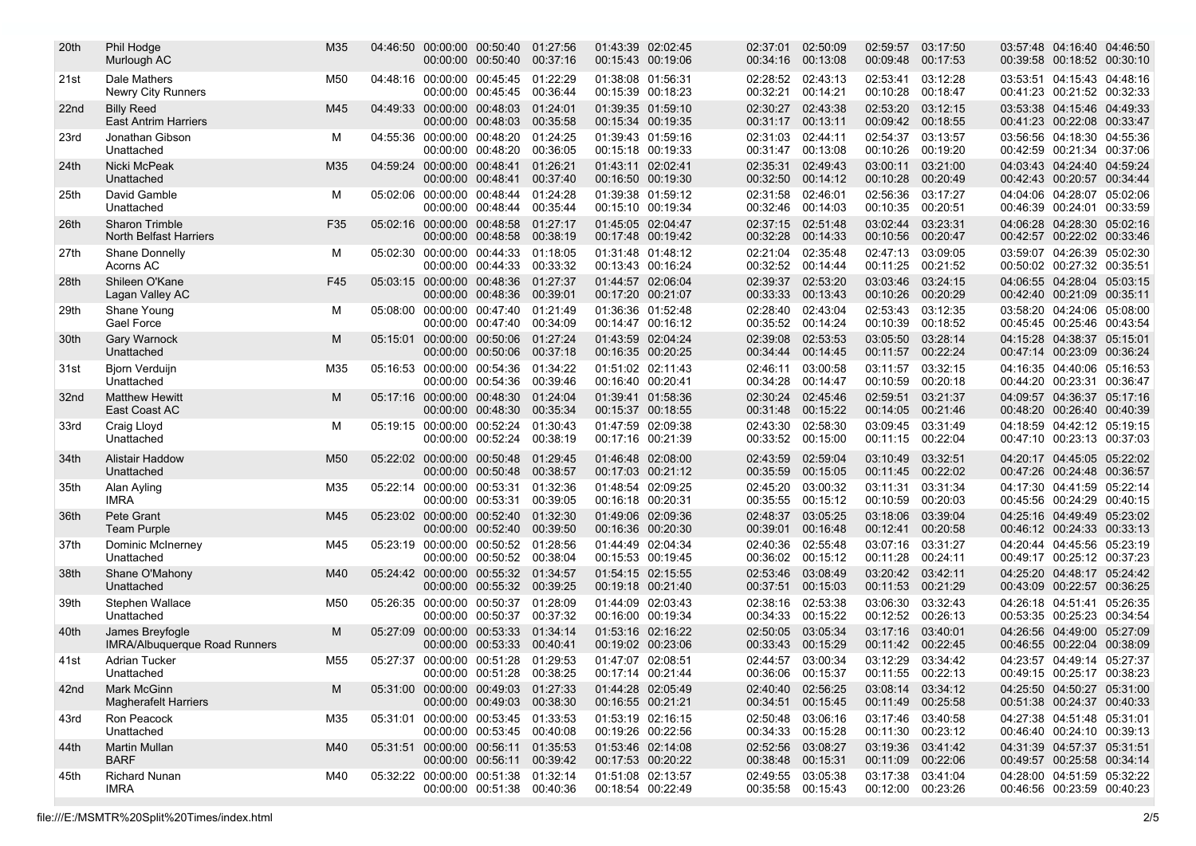| 20th             | Phil Hodge<br>Murlough AC                               | M35             |                            | 04:46:50 00:00:00 00:50:40<br>00:00:00 00:50:40                   | 01:27:56<br>00:37:16 | 01:43:39 02:02:45<br>00:15:43 00:19:06 |                   | 02:37:01<br>00:34:16                   | 02:50:09<br>00:13:08          | 02:59:57<br>00:09:48                   | 03:17:50<br>00:17:53 | 03:57:48 04:16:40 04:46:50<br>00:39:58 00:18:52 00:30:10 |  |
|------------------|---------------------------------------------------------|-----------------|----------------------------|-------------------------------------------------------------------|----------------------|----------------------------------------|-------------------|----------------------------------------|-------------------------------|----------------------------------------|----------------------|----------------------------------------------------------|--|
| 21st             | Dale Mathers<br><b>Newry City Runners</b>               | M50             |                            | 04:48:16 00:00:00 00:45:45<br>00:00:00 00:45:45                   | 01:22:29<br>00:36:44 | 01:38:08 01:56:31<br>00:15:39 00:18:23 |                   | 02:28:52<br>00:32:21                   | 02:43:13<br>00:14:21          | 02:53:41<br>00:10:28                   | 03:12:28<br>00:18:47 | 03:53:51 04:15:43 04:48:16<br>00:41:23 00:21:52 00:32:33 |  |
| 22 <sub>nd</sub> | <b>Billy Reed</b><br><b>East Antrim Harriers</b>        | M45             |                            | 04:49:33 00:00:00 00:48:03 01:24:01<br>00:00:00 00:48:03          | 00:35:58             | 00:15:34 00:19:35                      | 01:39:35 01:59:10 | 02:30:27<br>00:31:17                   | 02:43:38<br>00:13:11          | 02:53:20<br>00:09:42 00:18:55          | 03:12:15             | 03:53:38 04:15:46 04:49:33<br>00:41:23 00:22:08 00:33:47 |  |
| 23rd             | Jonathan Gibson<br>Unattached                           | м               | 04:55:36 00:00:00 00:48:20 | 00:00:00 00:48:20                                                 | 01:24:25<br>00:36:05 | 01:39:43 01:59:16<br>00:15:18 00:19:33 |                   | 02:31:03<br>00:31:47                   | 02:44:11<br>00:13:08          | 02:54:37<br>00:10:26                   | 03:13:57<br>00:19:20 | 03:56:56 04:18:30 04:55:36<br>00:42:59 00:21:34 00:37:06 |  |
| 24th             | Nicki McPeak<br>Unattached                              | M35             | 04:59:24 00:00:00 00:48:41 | 00:00:00 00:48:41                                                 | 01:26:21<br>00:37:40 | 01:43:11 02:02:41<br>00:16:50 00:19:30 |                   | 02:35:31<br>00:32:50                   | 02:49:43<br>00:14:12          | 03:00:11<br>00:10:28 00:20:49          | 03:21:00             | 04:03:43 04:24:40 04:59:24<br>00:42:43 00:20:57 00:34:44 |  |
| 25th             | David Gamble<br>Unattached                              | м               |                            | 05:02:06 00:00:00 00:48:44 01:24:28<br>00:00:00 00:48:44          | 00:35:44             | 00:15:10 00:19:34                      | 01:39:38 01:59:12 | 02:31:58<br>00:32:46                   | 02:46:01<br>00:14:03          | 02:56:36<br>00:10:35                   | 03:17:27<br>00:20:51 | 04:04:06 04:28:07 05:02:06<br>00:46:39 00:24:01 00:33:59 |  |
| 26th             | <b>Sharon Trimble</b><br><b>North Belfast Harriers</b>  | F35             | 05:02:16 00:00:00 00:48:58 | 00:00:00 00:48:58 00:38:19                                        | 01:27:17             | 01:45:05 02:04:47<br>00:17:48 00:19:42 |                   | 02:37:15<br>00:32:28                   | 02:51:48<br>00:14:33          | 03:02:44<br>00:10:56 00:20:47          | 03:23:31             | 04:06:28 04:28:30 05:02:16<br>00:42:57 00:22:02 00:33:46 |  |
| 27th             | Shane Donnelly<br>Acorns AC                             | М               |                            | 05:02:30 00:00:00 00:44:33 01:18:05<br>00:00:00 00:44:33          | 00:33:32             | 01:31:48 01:48:12<br>00:13:43 00:16:24 |                   | 02:21:04<br>00:32:52                   | 02:35:48<br>00:14:44          | 02:47:13 03:09:05<br>00:11:25          | 00:21:52             | 03:59:07 04:26:39 05:02:30<br>00:50:02 00:27:32 00:35:51 |  |
| 28th             | Shileen O'Kane<br>Lagan Valley AC                       | F45             |                            | 05:03:15 00:00:00 00:48:36 01:27:37<br>00:00:00 00:48:36          | 00:39:01             | 01:44:57 02:06:04<br>00:17:20 00:21:07 |                   | 02:39:37<br>00:33:33                   | 02:53:20<br>00:13:43          | 03:03:46<br>00:10:26                   | 03:24:15<br>00:20:29 | 04:06:55 04:28:04 05:03:15<br>00:42:40 00:21:09 00:35:11 |  |
| 29th             | Shane Young<br>Gael Force                               | М               | 05:08:00 00:00:00 00:47:40 | 00:00:00 00:47:40                                                 | 01:21:49<br>00:34:09 | 01:36:36 01:52:48<br>00:14:47 00:16:12 |                   | 02:28:40<br>00:35:52                   | 02:43:04<br>00:14:24          | 02:53:43<br>00:10:39 00:18:52          | 03:12:35             | 03:58:20 04:24:06 05:08:00<br>00:45:45 00:25:46 00:43:54 |  |
| 30th             | Gary Warnock<br>Unattached                              | м               |                            | 05:15:01 00:00:00 00:50:06 01:27:24<br>00:00:00 00:50:06          | 00:37:18             | 00:16:35 00:20:25                      | 01:43:59 02:04:24 | 02:39:08<br>00:34:44                   | 02:53:53<br>00:14:45          | 03:05:50<br>00:11:57                   | 03:28:14<br>00:22:24 | 04:15:28 04:38:37 05:15:01<br>00:47:14 00:23:09 00:36:24 |  |
| 31st             | Bjorn Verduijn<br>Unattached                            | M35             | 05:16:53 00:00:00 00:54:36 | 00:00:00 00:54:36                                                 | 01:34:22<br>00:39:46 | 01:51:02 02:11:43<br>00:16:40 00:20:41 |                   | 02:46:11<br>00:34:28                   | 03:00:58<br>00:14:47          | 03:11:57<br>00:10:59                   | 03:32:15<br>00:20:18 | 04:16:35 04:40:06 05:16:53<br>00:44:20 00:23:31 00:36:47 |  |
| 32 <sub>nd</sub> | <b>Matthew Hewitt</b><br>East Coast AC                  | M               |                            | 05:17:16 00:00:00 00:48:30 01:24:04<br>00:00:00 00:48:30          | 00:35:34             | 01:39:41 01:58:36<br>00:15:37 00:18:55 |                   | 02:30:24<br>00:31:48                   | 02:45:46<br>00:15:22          | 02:59:51<br>00:14:05                   | 03:21:37<br>00:21:46 | 04:09:57 04:36:37 05:17:16<br>00:48:20 00:26:40 00:40:39 |  |
| 33rd             | Craig Lloyd<br>Unattached                               | м               |                            | 05:19:15 00:00:00 00:52:24 01:30:43<br>00:00:00 00:52:24          | 00:38:19             | 01:47:59 02:09:38<br>00:17:16 00:21:39 |                   | 02:43:30<br>00:33:52                   | 02:58:30<br>00:15:00          | 03:09:45<br>00:11:15                   | 03:31:49<br>00:22:04 | 04:18:59 04:42:12 05:19:15<br>00:47:10 00:23:13 00:37:03 |  |
| 34th             | <b>Alistair Haddow</b><br>Unattached                    | M <sub>50</sub> | 05:22:02 00:00:00 00:50:48 | 00:00:00 00:50:48                                                 | 01:29:45<br>00:38:57 | 00:17:03 00:21:12                      | 01:46:48 02:08:00 | 02:43:59<br>00:35:59                   | 02:59:04<br>00:15:05          | 03:10:49<br>00:11:45                   | 03:32:51<br>00:22:02 | 04:20:17 04:45:05 05:22:02<br>00:47:26 00:24:48 00:36:57 |  |
| 35th             | Alan Ayling<br><b>IMRA</b>                              | M35             | 05:22:14 00:00:00 00:53:31 | 00:00:00 00:53:31                                                 | 01:32:36<br>00:39:05 | 01:48:54 02:09:25<br>00:16:18 00:20:31 |                   | 02:45:20<br>00:35:55                   | 03:00:32<br>00:15:12          | 03:11:31<br>00:10:59                   | 03:31:34<br>00:20:03 | 04:17:30 04:41:59 05:22:14<br>00:45:56 00:24:29 00:40:15 |  |
| 36th             | Pete Grant<br><b>Team Purple</b>                        | M45             |                            | 05:23:02 00:00:00 00:52:40<br>00:00:00 00:52:40                   | 01:32:30<br>00:39:50 | 01:49:06 02:09:36<br>00:16:36 00:20:30 |                   | 02:48:37<br>00:39:01                   | 03:05:25<br>00:16:48          | 03:18:06<br>00:12:41                   | 03:39:04<br>00:20:58 | 04:25:16 04:49:49 05:23:02<br>00:46:12 00:24:33 00:33:13 |  |
| 37th             | Dominic McInerney<br>Unattached                         | M45             |                            | 05:23:19 00:00:00 00:50:52<br>00:00:00 00:50:52                   | 01:28:56<br>00:38:04 | 01:44:49 02:04:34<br>00:15:53 00:19:45 |                   | 02:40:36<br>00:36:02                   | 02:55:48<br>00:15:12          | 03:07:16<br>00:11:28                   | 03:31:27<br>00:24:11 | 04:20:44 04:45:56 05:23:19<br>00:49:17 00:25:12 00:37:23 |  |
| 38th             | Shane O'Mahony<br>Unattached                            | M40             |                            | 05:24:42 00:00:00 00:55:32 01:34:57<br>00:00:00 00:55:32 00:39:25 |                      | 01:54:15 02:15:55<br>00:19:18 00:21:40 |                   | 02:53:46<br>00:37:51                   | 03:08:49<br>00:15:03          | 03:20:42<br>00:11:53 00:21:29          | 03:42:11             | 04:25:20 04:48:17 05:24:42<br>00:43:09 00:22:57 00:36:25 |  |
| 39th             | Stephen Wallace<br>Unattached                           | M50             |                            | 05:26:35 00:00:00 00:50:37 01:28:09<br>00:00:00 00:50:37          | 00:37:32             | 01:44:09 02:03:43<br>00:16:00 00:19:34 |                   | 02:38:16<br>00:34:33                   | 02:53:38<br>00:15:22          | 03:06:30<br>00:12:52                   | 03:32:43<br>00:26:13 | 04:26:18 04:51:41 05:26:35<br>00:53:35 00:25:23 00:34:54 |  |
| 40th             | James Breyfogle<br><b>IMRA/Albuquerque Road Runners</b> | М               | 05:27:09 00:00:00 00:53:33 | 00:00:00 00:53:33 00:40:41                                        | 01:34:14             | 01:53:16 02:16:22<br>00:19:02 00:23:06 |                   | 02:50:05<br>00:33:43                   | 03:05:34<br>00:15:29          | 03:17:16<br>00:11:42 00:22:45          | 03:40:01             | 04:26:56 04:49:00 05:27:09<br>00:46:55 00:22:04 00:38:09 |  |
| 41st             | <b>Adrian Tucker</b><br>Unattached                      | M55             |                            | 05:27:37 00:00:00 00:51:28<br>00:00:00 00:51:28 00:38:25          | 01:29:53             | 01:47:07 02:08:51<br>00:17:14 00:21:44 |                   | 02:44:57 03:00:34<br>00:36:06 00:15:37 |                               | 03:12:29 03:34:42<br>00:11:55 00:22:13 |                      | 04:23:57 04:49:14 05:27:37<br>00:49:15 00:25:17 00:38:23 |  |
| 42nd             | Mark McGinn<br><b>Magherafelt Harriers</b>              | M               |                            | 05:31:00 00:00:00 00:49:03 01:27:33<br>00:00:00 00:49:03 00:38:30 |                      | 01:44:28 02:05:49<br>00:16:55 00:21:21 |                   | 00:34:51                               | 02:40:40 02:56:25<br>00:15:45 | 03:08:14 03:34:12<br>00:11:49 00:25:58 |                      | 04:25:50 04:50:27 05:31:00<br>00:51:38 00:24:37 00:40:33 |  |
| 43rd             | Ron Peacock<br>Unattached                               | M35             |                            | 05:31:01 00:00:00 00:53:45 01:33:53<br>00:00:00 00:53:45 00:40:08 |                      | 01:53:19 02:16:15<br>00:19:26 00:22:56 |                   | 02:50:48<br>00:34:33                   | 03:06:16<br>00:15:28          | 03:17:46 03:40:58<br>00:11:30 00:23:12 |                      | 04:27:38 04:51:48 05:31:01<br>00:46:40 00:24:10 00:39:13 |  |
| 44th             | Martin Mullan<br><b>BARF</b>                            | M40             |                            | 05:31:51 00:00:00 00:56:11 01:35:53<br>00:00:00 00:56:11 00:39:42 |                      | 01:53:46 02:14:08<br>00:17:53 00:20:22 |                   | 02:52:56<br>00:38:48                   | 03:08:27<br>00:15:31          | 03:19:36 03:41:42<br>00:11:09          | 00:22:06             | 04:31:39 04:57:37 05:31:51<br>00:49:57 00:25:58 00:34:14 |  |
| 45th             | Richard Nunan<br><b>IMRA</b>                            | M40             |                            | 05:32:22 00:00:00 00:51:38 01:32:14<br>00:00:00 00:51:38 00:40:36 |                      | 01:51:08 02:13:57<br>00:18:54 00:22:49 |                   | 02:49:55<br>00:35:58 00:15:43          | 03:05:38                      | 03:17:38<br>00:12:00 00:23:26          | 03:41:04             | 04:28:00 04:51:59 05:32:22<br>00:46:56 00:23:59 00:40:23 |  |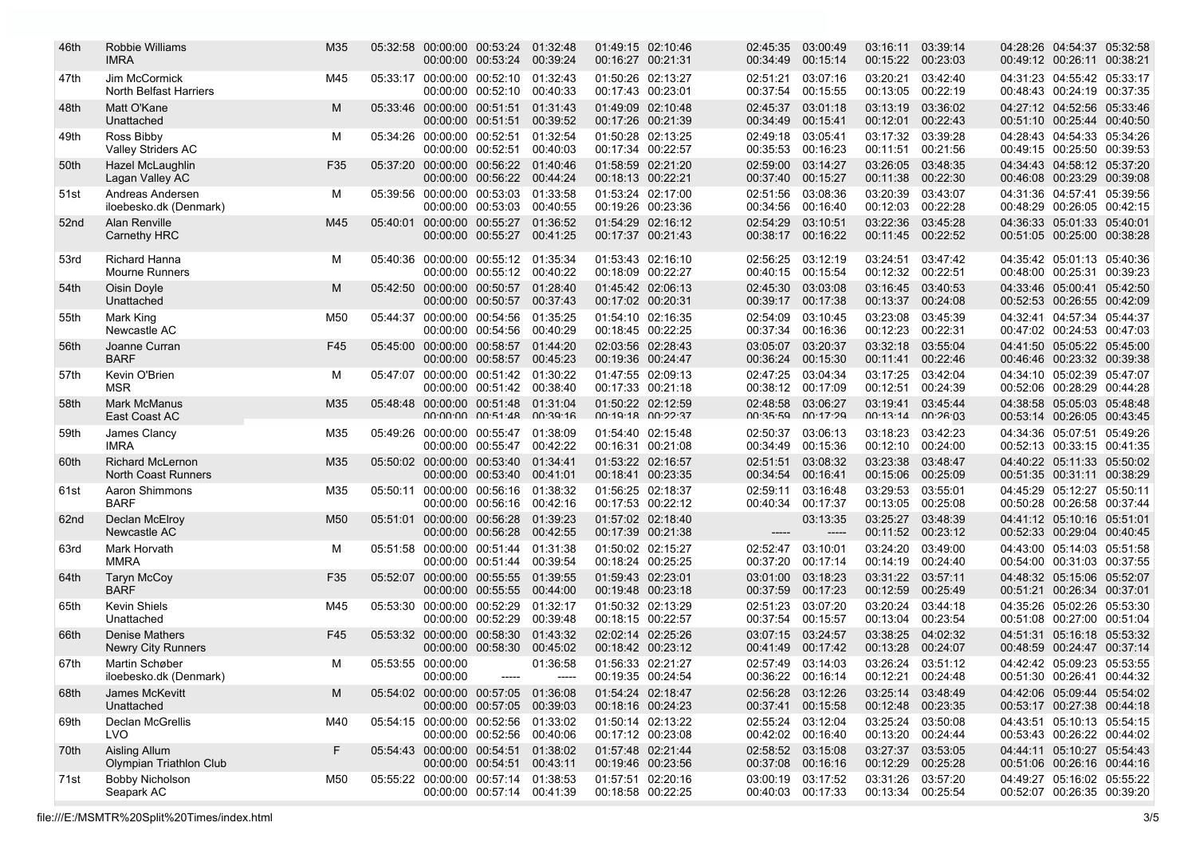| 46th             | Robbie Williams<br><b>IMRA</b>                 | M35             |                   | 05:32:58 00:00:00 00:53:24<br>00:00:00 00:53:24                   | 01:32:48<br>00:39:24 | 01:49:15 02:10:46<br>00:16:27 00:21:31     | 02:45:35<br>00:34:49                   | 03:00:49<br>00:15:14 | 03:16:11<br>00:15:22                   | 03:39:14<br>00:23:03 | 04:28:26 04:54:37 05:32:58<br>00:49:12 00:26:11 00:38:21 |  |
|------------------|------------------------------------------------|-----------------|-------------------|-------------------------------------------------------------------|----------------------|--------------------------------------------|----------------------------------------|----------------------|----------------------------------------|----------------------|----------------------------------------------------------|--|
| 47th             | Jim McCormick<br>North Belfast Harriers        | M45             |                   | 05:33:17 00:00:00 00:52:10<br>00:00:00 00:52:10                   | 01:32:43<br>00:40:33 | 01:50:26 02:13:27<br>00:17:43 00:23:01     | 02:51:21<br>00:37:54                   | 03:07:16<br>00:15:55 | 03:20:21<br>00:13:05                   | 03:42:40<br>00:22:19 | 04:31:23 04:55:42 05:33:17<br>00:48:43 00:24:19 00:37:35 |  |
| 48th             | Matt O'Kane<br>Unattached                      | М               |                   | 05:33:46 00:00:00 00:51:51<br>00:00:00 00:51:51                   | 01:31:43<br>00:39:52 | 01:49:09 02:10:48<br>00:17:26 00:21:39     | 02:45:37<br>00:34:49                   | 03:01:18<br>00:15:41 | 03:13:19<br>00:12:01                   | 03:36:02<br>00:22:43 | 04:27:12 04:52:56 05:33:46<br>00:51:10 00:25:44 00:40:50 |  |
| 49th             | Ross Bibby<br><b>Valley Striders AC</b>        | м               |                   | 05:34:26 00:00:00 00:52:51<br>00:00:00 00:52:51                   | 01:32:54<br>00:40:03 | 01:50:28 02:13:25<br>00:17:34 00:22:57     | 02:49:18<br>00:35:53                   | 03:05:41<br>00:16:23 | 03:17:32<br>00:11:51                   | 03:39:28<br>00:21:56 | 04:28:43 04:54:33 05:34:26<br>00:49:15 00:25:50 00:39:53 |  |
| 50th             | Hazel McLaughlin<br>Lagan Valley AC            | F35             |                   | 05:37:20 00:00:00 00:56:22 01:40:46<br>00:00:00 00:56:22 00:44:24 |                      | 01:58:59 02:21:20<br>00:18:13 00:22:21     | 02:59:00<br>00:37:40                   | 03:14:27<br>00:15:27 | 03:26:05<br>00:11:38                   | 03:48:35<br>00:22:30 | 04:34:43 04:58:12 05:37:20<br>00:46:08 00:23:29 00:39:08 |  |
| 51st             | Andreas Andersen<br>iloebesko.dk (Denmark)     | М               |                   | 05:39:56 00:00:00 00:53:03 01:33:58<br>00:00:00 00:53:03          | 00:40:55             | 01:53:24 02:17:00<br>00:19:26 00:23:36     | 02:51:56<br>00:34:56                   | 03:08:36<br>00:16:40 | 03:20:39<br>00:12:03                   | 03:43:07<br>00:22:28 | 04:31:36 04:57:41 05:39:56<br>00:48:29 00:26:05 00:42:15 |  |
| 52 <sub>nd</sub> | Alan Renville<br>Carnethy HRC                  | M45             |                   | 05:40:01 00:00:00 00:55:27<br>00:00:00 00:55:27                   | 01:36:52<br>00:41:25 | 01:54:29 02:16:12<br>00:17:37 00:21:43     | 02:54:29<br>00:38:17 00:16:22          | 03:10:51             | 03:22:36<br>00:11:45 00:22:52          | 03:45:28             | 04:36:33 05:01:33 05:40:01<br>00:51:05 00:25:00 00:38:28 |  |
| 53rd             | Richard Hanna<br><b>Mourne Runners</b>         | м               |                   | 05:40:36 00:00:00 00:55:12 01:35:34<br>00:00:00 00:55:12 00:40:22 |                      | 01:53:43 02:16:10<br>00:18:09 00:22:27     | 02:56:25<br>00:40:15 00:15:54          | 03:12:19             | 03:24:51<br>00:12:32 00:22:51          | 03:47:42             | 04:35:42 05:01:13 05:40:36<br>00:48:00 00:25:31 00:39:23 |  |
| 54th             | Oisin Doyle<br>Unattached                      | М               |                   | 05:42:50 00:00:00 00:50:57<br>00:00:00 00:50:57                   | 01:28:40<br>00:37:43 | 01:45:42 02:06:13<br>00:17:02 00:20:31     | 02:45:30<br>00:39:17                   | 03:03:08<br>00:17:38 | 03:16:45<br>00:13:37                   | 03:40:53<br>00:24:08 | 04:33:46 05:00:41 05:42:50<br>00:52:53 00:26:55 00:42:09 |  |
| 55th             | Mark King<br>Newcastle AC                      | M <sub>50</sub> |                   | 05:44:37 00:00:00 00:54:56<br>00:00:00 00:54:56                   | 01:35:25<br>00:40:29 | 01:54:10 02:16:35<br>00:18:45 00:22:25     | 02:54:09<br>00:37:34                   | 03:10:45<br>00:16:36 | 03:23:08<br>00:12:23                   | 03:45:39<br>00:22:31 | 04:32:41 04:57:34 05:44:37<br>00:47:02 00:24:53 00:47:03 |  |
| 56th             | Joanne Curran<br><b>BARF</b>                   | F45             |                   | 05:45:00 00:00:00 00:58:57 01:44:20<br>00:00:00 00:58:57          | 00:45:23             | 02:03:56 02:28:43<br>00:19:36 00:24:47     | 03:05:07<br>00:36:24                   | 03:20:37<br>00:15:30 | 03:32:18<br>00:11:41                   | 03:55:04<br>00:22:46 | 04:41:50 05:05:22 05:45:00<br>00:46:46 00:23:32 00:39:38 |  |
| 57th             | Kevin O'Brien<br><b>MSR</b>                    | м               |                   | 05:47:07 00:00:00 00:51:42 01:30:22<br>00:00:00 00:51:42 00:38:40 |                      | 01:47:55 02:09:13<br>00:17:33 00:21:18     | 02:47:25<br>00:38:12                   | 03:04:34<br>00:17:09 | 03:17:25<br>00:12:51                   | 03:42:04<br>00:24:39 | 04:34:10 05:02:39 05:47:07<br>00:52:06 00:28:29 00:44:28 |  |
| 58th             | <b>Mark McManus</b><br>East Coast AC           | M35             |                   | 05:48:48 00:00:00 00:51:48<br>$00.00.00$ $00.51.48$ $00.39.16$    | 01:31:04             | 01:50:22 02:12:59<br>$00.19.18$ $00.22.37$ | 02:48:58<br>00.35.59                   | 03:06:27<br>00.17.29 | 03:19:41<br>$00.13.14$ $00.26.03$      | 03:45:44             | 04:38:58 05:05:03 05:48:48<br>00:53:14 00:26:05 00:43:45 |  |
| 59th             | James Clancy<br><b>IMRA</b>                    | M35             | 05:49:26          | 00:00:00 00:55:47 01:38:09<br>00:00:00 00:55:47                   | 00:42:22             | 01:54:40 02:15:48<br>00:16:31 00:21:08     | 02:50:37<br>00:34:49                   | 03:06:13<br>00:15:36 | 03:18:23<br>00:12:10                   | 03:42:23<br>00:24:00 | 04:34:36 05:07:51 05:49:26<br>00:52:13 00:33:15 00:41:35 |  |
| 60th             | <b>Richard McLernon</b><br>North Coast Runners | M35             |                   | 05:50:02 00:00:00 00:53:40<br>00:00:00 00:53:40 00:41:01          | 01:34:41             | 01:53:22 02:16:57<br>00:18:41 00:23:35     | 02:51:51<br>00:34:54                   | 03:08:32<br>00:16:41 | 03:23:38<br>00:15:06                   | 03:48:47<br>00:25:09 | 04:40:22 05:11:33 05:50:02<br>00:51:35 00:31:11 00:38:29 |  |
| 61st             | Aaron Shimmons<br><b>BARF</b>                  | M35             |                   | 05:50:11 00:00:00 00:56:16 01:38:32<br>00:00:00 00:56:16          | 00:42:16             | 01:56:25 02:18:37<br>00:17:53 00:22:12     | 02:59:11<br>00:40:34                   | 03:16:48<br>00:17:37 | 03:29:53<br>00:13:05                   | 03:55:01<br>00:25:08 | 04:45:29 05:12:27 05:50:11<br>00:50:28 00:26:58 00:37:44 |  |
| 62nd             | Declan McElroy<br>Newcastle AC                 | M <sub>50</sub> |                   | 05:51:01 00:00:00 00:56:28 01:39:23<br>00:00:00 00:56:28          | 00:42:55             | 01:57:02 02:18:40<br>00:17:39 00:21:38     |                                        | 03:13:35<br>-----    | 03:25:27<br>00:11:52                   | 03:48:39<br>00:23:12 | 04:41:12 05:10:16 05:51:01<br>00:52:33 00:29:04 00:40:45 |  |
| 63rd             | Mark Horvath<br>MMRA                           | м               |                   | 05:51:58 00:00:00 00:51:44<br>00:00:00 00:51:44 00:39:54          | 01:31:38             | 01:50:02 02:15:27<br>00:18:24 00:25:25     | 02:52:47<br>00:37:20                   | 03:10:01<br>00:17:14 | 03:24:20<br>00:14:19 00:24:40          | 03:49:00             | 04:43:00 05:14:03 05:51:58<br>00:54:00 00:31:03 00:37:55 |  |
| 64th             | <b>Taryn McCoy</b><br><b>BARF</b>              | F35             |                   | 05:52:07 00:00:00 00:55:55<br>00:00:00 00:55:55                   | 01:39:55<br>00:44:00 | 01:59:43 02:23:01<br>00:19:48 00:23:18     | 03:01:00<br>00:37:59                   | 03:18:23<br>00:17:23 | 03:31:22<br>00:12:59                   | 03:57:11<br>00:25:49 | 04:48:32 05:15:06 05:52:07<br>00:51:21 00:26:34 00:37:01 |  |
| 65th             | <b>Kevin Shiels</b><br>Unattached              | M45             |                   | 05:53:30 00:00:00 00:52:29<br>00:00:00 00:52:29                   | 01:32:17<br>00:39:48 | 01:50:32 02:13:29<br>00:18:15 00:22:57     | 02:51:23<br>00:37:54                   | 03:07:20<br>00:15:57 | 03:20:24<br>00:13:04                   | 03:44:18<br>00:23:54 | 04:35:26 05:02:26 05:53:30<br>00:51:08 00:27:00 00:51:04 |  |
| 66th             | <b>Denise Mathers</b><br>Newry City Runners    | F45             |                   | 05:53:32 00:00:00 00:58:30<br>00:00:00 00:58:30                   | 01:43:32<br>00:45:02 | 02:02:14 02:25:26<br>00:18:42 00:23:12     | 03:07:15<br>00:41:49                   | 03:24:57<br>00:17:42 | 03:38:25<br>00:13:28                   | 04:02:32<br>00:24:07 | 04:51:31 05:16:18 05:53:32<br>00:48:59 00:24:47 00:37:14 |  |
| 67th             | Martin Schøber<br>iloebesko.dk (Denmark)       | м               | 05:53:55 00:00:00 | 00:00:00                                                          | 01:36:58<br>-----    | 01:56:33 02:21:27<br>00:19:35 00:24:54     | 00:36:22 00:16:14                      | 02:57:49 03:14:03    | 03:26:24 03:51:12<br>00:12:21 00:24:48 |                      | 04:42:42 05:09:23 05:53:55<br>00:51:30 00:26:41 00:44:32 |  |
| 68th             | James McKevitt<br>Unattached                   | М               |                   | 05:54:02 00:00:00 00:57:05 01:36:08<br>00:00:00 00:57:05 00:39:03 |                      | 01:54:24 02:18:47<br>00:18:16 00:24:23     | 02:56:28 03:12:26                      | 00:37:41 00:15:58    | 03:25:14 03:48:49<br>00:12:48 00:23:35 |                      | 04:42:06 05:09:44 05:54:02<br>00:53:17 00:27:38 00:44:18 |  |
| 69th             | Declan McGrellis<br>LVO.                       | M40             |                   | 05:54:15 00:00:00 00:52:56 01:33:02<br>00:00:00 00:52:56 00:40:06 |                      | 01:50:14 02:13:22<br>00:17:12 00:23:08     | 02:55:24 03:12:04<br>00:42:02 00:16:40 |                      | 03:25:24 03:50:08<br>00:13:20          | 00:24:44             | 04:43:51 05:10:13 05:54:15<br>00:53:43 00:26:22 00:44:02 |  |
| 70th             | Aisling Allum<br>Olympian Triathlon Club       | F.              |                   | 05:54:43 00:00:00 00:54:51 01:38:02<br>00:00:00 00:54:51 00:43:11 |                      | 01:57:48 02:21:44<br>00:19:46 00:23:56     | 02:58:52 03:15:08<br>00:37:08 00:16:16 |                      | 03:27:37 03:53:05<br>00:12:29 00:25:28 |                      | 04:44:11 05:10:27 05:54:43<br>00:51:06 00:26:16 00:44:16 |  |
| 71st             | Bobby Nicholson<br>Seapark AC                  | M50             |                   | 05:55:22 00:00:00 00:57:14 01:38:53<br>00:00:00 00:57:14 00:41:39 |                      | 01:57:51 02:20:16<br>00:18:58 00:22:25     | 00:40:03 00:17:33                      | 03:00:19 03:17:52    | 03:31:26<br>00:13:34 00:25:54          | 03:57:20             | 04:49:27 05:16:02 05:55:22<br>00:52:07 00:26:35 00:39:20 |  |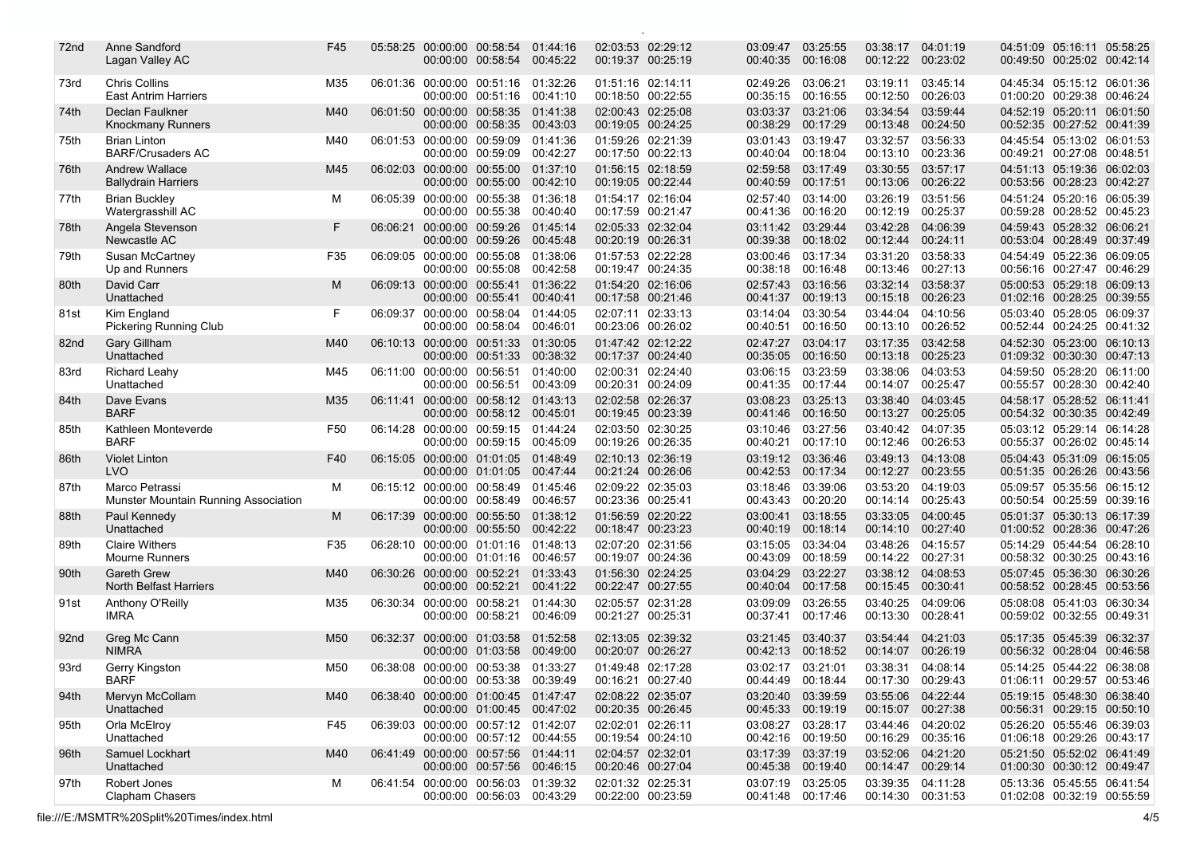| 72 <sub>nd</sub> | Anne Sandford<br>Lagan Valley AC                       | F45 |          | 05:58:25 00:00:00 00:58:54             | 00:00:00 00:58:54                                                 | 01:44:16<br>00:45:22 | 02:03:53 02:29:12<br>00:19:37          | 00:25:19 | 03:09:47<br>00:40:35          | 03:25:55<br>00:16:08          | 03:38:17<br>00:12:22                   | 04:01:19<br>00:23:02 | 04:51:09 05:16:11 05:58:25<br>00:49:50 00:25:02 00:42:14 |  |
|------------------|--------------------------------------------------------|-----|----------|----------------------------------------|-------------------------------------------------------------------|----------------------|----------------------------------------|----------|-------------------------------|-------------------------------|----------------------------------------|----------------------|----------------------------------------------------------|--|
| 73rd             | <b>Chris Collins</b><br><b>East Antrim Harriers</b>    | M35 |          |                                        | 06:01:36 00:00:00 00:51:16 01:32:26<br>00:00:00 00:51:16          | 00:41:10             | 01:51:16 02:14:11<br>00:18:50 00:22:55 |          | 02:49:26<br>00:35:15          | 03:06:21<br>00:16:55          | 03:19:11<br>00:12:50                   | 03:45:14<br>00:26:03 | 04:45:34 05:15:12 06:01:36<br>01:00:20 00:29:38 00:46:24 |  |
| 74th             | Declan Faulkner<br><b>Knockmany Runners</b>            | M40 |          |                                        | 06:01:50 00:00:00 00:58:35 01:41:38<br>00:00:00 00:58:35          | 00:43:03             | 02:00:43 02:25:08<br>00:19:05 00:24:25 |          | 03:03:37<br>00:38:29          | 03:21:06<br>00:17:29          | 03:34:54<br>00:13:48                   | 03:59:44<br>00:24:50 | 04:52:19 05:20:11 06:01:50<br>00:52:35 00:27:52 00:41:39 |  |
| 75th             | <b>Brian Linton</b><br><b>BARF/Crusaders AC</b>        | M40 |          |                                        | 06:01:53 00:00:00 00:59:09<br>00:00:00 00:59:09 00:42:27          | 01:41:36             | 01:59:26 02:21:39<br>00:17:50 00:22:13 |          | 03:01:43<br>00:40:04          | 03:19:47<br>00:18:04          | 03:32:57<br>00:13:10                   | 03:56:33<br>00:23:36 | 04:45:54 05:13:02 06:01:53<br>00:49:21 00:27:08 00:48:51 |  |
| 76th             | <b>Andrew Wallace</b><br><b>Ballydrain Harriers</b>    | M45 |          | 00:00:00                               | 06:02:03 00:00:00 00:55:00 01:37:10<br>00:55:00 00:42:10          |                      | 01:56:15 02:18:59<br>00:19:05 00:22:44 |          | 02:59:58<br>00:40:59          | 03:17:49<br>00:17:51          | 03:30:55<br>00:13:06                   | 03:57:17<br>00:26:22 | 04:51:13 05:19:36 06:02:03<br>00:53:56 00:28:23 00:42:27 |  |
| 77th             | <b>Brian Buckley</b><br>Watergrasshill AC              | М   |          | 06:05:39 00:00:00 00:55:38             | 00:00:00 00:55:38                                                 | 01:36:18<br>00:40:40 | 01:54:17 02:16:04<br>00:17:59 00:21:47 |          | 02:57:40<br>00:41:36          | 03:14:00<br>00:16:20          | 03:26:19<br>00:12:19                   | 03:51:56<br>00:25:37 | 04:51:24 05:20:16 06:05:39<br>00:59:28 00:28:52 00:45:23 |  |
| 78th             | Angela Stevenson<br>Newcastle AC                       | F   |          | 06:06:21 00:00:00 00:59:26             | 00:00:00 00:59:26                                                 | 01:45:14<br>00:45:48 | 02:05:33 02:32:04<br>00:20:19 00:26:31 |          | 03:11:42<br>00:39:38          | 03:29:44<br>00:18:02          | 03:42:28<br>00:12:44                   | 04:06:39<br>00:24:11 | 04:59:43 05:28:32 06:06:21<br>00:53:04 00:28:49 00:37:49 |  |
| 79th             | Susan McCartney<br>Up and Runners                      | F35 |          | 06:09:05 00:00:00 00:55:08<br>00:00:00 | 00:55:08                                                          | 01:38:06<br>00:42:58 | 01:57:53 02:22:28<br>00:19:47 00:24:35 |          | 03:00:46<br>00:38:18          | 03:17:34<br>00:16:48          | 03:31:20<br>00:13:46                   | 03:58:33<br>00:27:13 | 04:54:49 05:22:36 06:09:05<br>00:56:16 00:27:47 00:46:29 |  |
| 80th             | David Carr<br>Unattached                               | M   |          | 06:09:13 00:00:00 00:55:41             | 00:00:00 00:55:41                                                 | 01:36:22<br>00:40:41 | 01:54:20<br>00:17:58 00:21:46          | 02:16:06 | 02:57:43<br>00:41:37          | 03:16:56<br>00:19:13          | 03:32:14<br>00:15:18                   | 03:58:37<br>00:26:23 | 05:00:53 05:29:18 06:09:13<br>01:02:16 00:28:25 00:39:55 |  |
| 81st             | Kim England<br><b>Pickering Running Club</b>           | F   |          | 00:00:00                               | 06:09:37 00:00:00 00:58:04 01:44:05<br>00:58:04                   | 00:46:01             | 02:07:11 02:33:13<br>00:23:06 00:26:02 |          | 03:14:04<br>00:40:51          | 03:30:54<br>00:16:50          | 03:44:04<br>00:13:10                   | 04:10:56<br>00:26:52 | 05:03:40 05:28:05 06:09:37<br>00:52:44 00:24:25 00:41:32 |  |
| 82 <sub>nd</sub> | <b>Gary Gillham</b><br>Unattached                      | M40 |          | 06:10:13 00:00:00                      | 00:51:33<br>00:00:00 00:51:33 00:38:32                            | 01:30:05             | 01:47:42 02:12:22<br>00:17:37 00:24:40 |          | 02:47:27<br>00:35:05          | 03:04:17<br>00:16:50          | 03:17:35<br>00:13:18                   | 03:42:58<br>00:25:23 | 04:52:30 05:23:00 06:10:13<br>01:09:32 00:30:30 00:47:13 |  |
| 83rd             | Richard Leahy<br>Unattached                            | M45 |          |                                        | 06:11:00 00:00:00 00:56:51<br>00:00:00 00:56:51                   | 01:40:00<br>00:43:09 | 02:00:31 02:24:40<br>00:20:31 00:24:09 |          | 03:06:15<br>00:41:35          | 03:23:59<br>00:17:44          | 03:38:06<br>00:14:07                   | 04:03:53<br>00:25:47 | 04:59:50 05:28:20 06:11:00<br>00:55:57 00:28:30 00:42:40 |  |
| 84th             | Dave Evans<br><b>BARF</b>                              | M35 |          |                                        | 06:11:41 00:00:00 00:58:12 01:43:13<br>00:00:00 00:58:12 00:45:01 |                      | 02:02:58 02:26:37<br>00:19:45 00:23:39 |          | 03:08:23<br>00:41:46          | 03:25:13<br>00:16:50          | 03:38:40<br>00:13:27                   | 04:03:45<br>00:25:05 | 04:58:17 05:28:52 06:11:41<br>00:54:32 00:30:35 00:42:49 |  |
| 85th             | Kathleen Monteverde<br><b>BARF</b>                     | F50 |          |                                        | 06:14:28 00:00:00 00:59:15 01:44:24<br>00:00:00 00:59:15 00:45:09 |                      | 02:03:50 02:30:25<br>00:19:26 00:26:35 |          | 03:10:46<br>00:40:21          | 03:27:56<br>00:17:10          | 03:40:42<br>00:12:46                   | 04:07:35<br>00:26:53 | 05:03:12 05:29:14 06:14:28<br>00:55:37 00:26:02 00:45:14 |  |
| 86th             | <b>Violet Linton</b><br><b>LVO</b>                     | F40 |          |                                        | 06:15:05 00:00:00 01:01:05 01:48:49<br>00:00:00 01:01:05 00:47:44 |                      | 02:10:13 02:36:19<br>00:21:24 00:26:06 |          | 03:19:12<br>00:42:53          | 03:36:46<br>00:17:34          | 03:49:13<br>00:12:27                   | 04:13:08<br>00:23:55 | 05:04:43 05:31:09 06:15:05<br>00:51:35 00:26:26 00:43:56 |  |
| 87th             | Marco Petrassi<br>Munster Mountain Running Association | М   |          | 06:15:12 00:00:00                      | 00:58:49<br>00:00:00 00:58:49                                     | 01:45:46<br>00:46:57 | 02:09:22 02:35:03<br>00:23:36 00:25:41 |          | 03:18:46<br>00:43:43          | 03:39:06<br>00:20:20          | 03:53:20<br>00:14:14                   | 04:19:03<br>00:25:43 | 05:09:57 05:35:56 06:15:12<br>00:50:54 00:25:59 00:39:16 |  |
| 88th             | Paul Kennedy<br>Unattached                             | M   |          |                                        | 06:17:39 00:00:00 00:55:50 01:38:12<br>00:00:00 00:55:50          | 00:42:22             | 01:56:59 02:20:22<br>00:18:47 00:23:23 |          | 03:00:41<br>00:40:19          | 03:18:55<br>00:18:14          | 03:33:05<br>00:14:10                   | 04:00:45<br>00:27:40 | 05:01:37 05:30:13 06:17:39<br>01:00:52 00:28:36 00:47:26 |  |
| 89th             | <b>Claire Withers</b><br><b>Mourne Runners</b>         | F35 |          | 06:28:10 00:00:00 01:01:16             | 00:00:00 01:01:16                                                 | 01:48:13<br>00:46:57 | 02:07:20 02:31:56<br>00:19:07 00:24:36 |          | 03:15:05<br>00:43:09          | 03:34:04<br>00:18:59          | 03:48:26<br>00:14:22                   | 04:15:57<br>00:27:31 | 05:14:29 05:44:54 06:28:10<br>00:58:32 00:30:25 00:43:16 |  |
| 90th             | <b>Gareth Grew</b><br><b>North Belfast Harriers</b>    | M40 |          | 06:30:26 00:00:00 00:52:21             | 00:00:00 00:52:21                                                 | 01:33:43<br>00:41:22 | 01:56:30<br>00:22:47 00:27:55          | 02:24:25 | 03:04:29<br>00:40:04          | 03:22:27<br>00:17:58          | 03:38:12<br>00:15:45                   | 04:08:53<br>00:30:41 | 05:07:45 05:36:30 06:30:26<br>00:58:52 00:28:45 00:53:56 |  |
| 91st             | Anthony O'Reilly<br><b>IMRA</b>                        | M35 |          | 06:30:34 00:00:00 00:58:21<br>00:00:00 | 00:58:21                                                          | 01:44:30<br>00:46:09 | 02:05:57 02:31:28<br>00:21:27          | 00:25:31 | 03:09:09<br>00:37:41          | 03:26:55<br>00:17:46          | 03:40:25<br>00:13:30                   | 04:09:06<br>00:28:41 | 05:08:08 05:41:03 06:30:34<br>00:59:02 00:32:55 00:49:31 |  |
| 92 <sub>nd</sub> | Greg Mc Cann<br><b>NIMRA</b>                           | M50 | 06:32:37 | 00:00:00 01:03:58                      | 00:00:00 01:03:58                                                 | 01:52:58<br>00:49:00 | 02:13:05 02:39:32<br>00:20:07          | 00:26:27 | 03:21:45<br>00:42:13          | 03:40:37<br>00:18:52          | 03:54:44<br>00:14:07                   | 04:21:03<br>00:26:19 | 05:17:35 05:45:39 06:32:37<br>00:56:32 00:28:04 00:46:58 |  |
| 93rd             | Gerry Kingston<br><b>BARF</b>                          | M50 |          |                                        | 06:38:08 00:00:00 00:53:38 01:33:27<br>00:00:00 00:53:38 00:39:49 |                      | 01:49:48 02:17:28<br>00:16:21 00:27:40 |          | 03:02:17 03:21:01             | 00:44:49 00:18:44             | 03:38:31 04:08:14<br>00:17:30 00:29:43 |                      | 05:14:25 05:44:22 06:38:08<br>01:06:11 00:29:57 00:53:46 |  |
| 94th             | Mervyn McCollam<br>Unattached                          | M40 |          |                                        | 06:38:40 00:00:00 01:00:45 01:47:47<br>00:00:00 01:00:45 00:47:02 |                      | 02:08:22 02:35:07<br>00:20:35 00:26:45 |          | 03:20:40<br>00:45:33          | 03:39:59<br>00:19:19          | 03:55:06 04:22:44<br>00:15:07          | 00:27:38             | 05:19:15 05:48:30 06:38:40<br>00:56:31 00:29:15 00:50:10 |  |
| 95th             | Orla McElroy<br>Unattached                             | F45 |          |                                        | 06:39:03 00:00:00 00:57:12 01:42:07<br>00:00:00 00:57:12 00:44:55 |                      | 02:02:01 02:26:11<br>00:19:54 00:24:10 |          | 03:08:27<br>00:42:16 00:19:50 | 03:28:17                      | 03:44:46<br>00:16:29 00:35:16          | 04:20:02             | 05:26:20 05:55:46 06:39:03<br>01:06:18 00:29:26 00:43:17 |  |
| 96th             | Samuel Lockhart<br>Unattached                          | M40 |          |                                        | 06:41:49 00:00:00 00:57:56 01:44:11<br>00:00:00 00:57:56 00:46:15 |                      | 02:04:57 02:32:01<br>00:20:46 00:27:04 |          | 03:17:39                      | 03:37:19<br>00:45:38 00:19:40 | 03:52:06 04:21:20<br>00:14:47 00:29:14 |                      | 05:21:50 05:52:02 06:41:49<br>01:00:30 00:30:12 00:49:47 |  |
| 97th             | Robert Jones<br>Clapham Chasers                        | M   |          |                                        | 06:41:54 00:00:00 00:56:03 01:39:32<br>00:00:00 00:56:03 00:43:29 |                      | 02:01:32 02:25:31<br>00:22:00 00:23:59 |          | 03:07:19                      | 03:25:05<br>00:41:48 00:17:46 | 03:39:35 04:11:28<br>00:14:30 00:31:53 |                      | 05:13:36 05:45:55 06:41:54<br>01:02:08 00:32:19 00:55:59 |  |